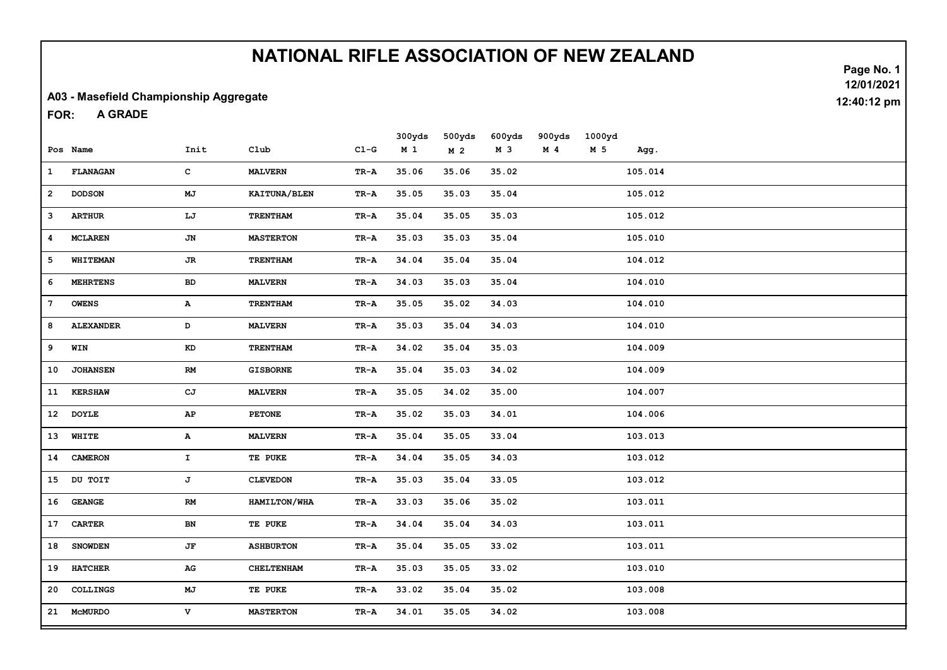#### A03 - Masefield Championship Aggregate

A GRADE FOR:

|              | Pos Name         | Init                   | Club             | $CL-G$                            | 300yds<br>M <sub>1</sub> | 500yds<br>M <sub>2</sub> | 600yds<br>M 3 | 900yds<br>M <sub>4</sub> | 1000yd<br>M 5 | Agg.    |  |
|--------------|------------------|------------------------|------------------|-----------------------------------|--------------------------|--------------------------|---------------|--------------------------|---------------|---------|--|
| $\mathbf{1}$ | FLANAGAN         | $\mathbf{C}$           | <b>MALVERN</b>   | $TR - A$                          | 35.06                    | 35.06                    | 35.02         |                          |               | 105.014 |  |
| $\mathbf{2}$ | <b>DODSON</b>    | MJ                     | KAITUNA/BLEN     | TR-A                              | 35.05                    | 35.03                    | 35.04         |                          |               | 105.012 |  |
| з            | <b>ARTHUR</b>    | LJ                     | <b>TRENTHAM</b>  | TR-A                              | 35.04                    | 35.05                    | 35.03         |                          |               | 105.012 |  |
| 4            | <b>MCLAREN</b>   | JN                     | <b>MASTERTON</b> | TR-A                              | 35.03                    | 35.03                    | 35.04         |                          |               | 105.010 |  |
| 5            | <b>WHITEMAN</b>  | <b>JR</b>              | <b>TRENTHAM</b>  | TR-A                              | 34.04                    | 35.04                    | 35.04         |                          |               | 104.012 |  |
| 6            | <b>MEHRTENS</b>  | ${\bf BD}$             | <b>MALVERN</b>   | TR-A                              | 34.03                    | 35.03                    | 35.04         |                          |               | 104.010 |  |
| 7            | <b>OWENS</b>     | A                      | TRENTHAM         | TR-A                              | 35.05                    | 35.02                    | 34.03         |                          |               | 104.010 |  |
| 8            | <b>ALEXANDER</b> | D                      | <b>MALVERN</b>   | TR-A                              | 35.03                    | 35.04                    | 34.03         |                          |               | 104.010 |  |
| 9            | WIN              | $\mathbf{K}\mathbf{D}$ | TRENTHAM         | $\mathbf{T}\mathbf{R}-\mathbf{A}$ | 34.02                    | 35.04                    | 35.03         |                          |               | 104.009 |  |
| 10           | <b>JOHANSEN</b>  | RM                     | <b>GISBORNE</b>  | $TR - A$                          | 35.04                    | 35.03                    | 34.02         |                          |               | 104.009 |  |
|              | 11 KERSHAW       | CJ                     | <b>MALVERN</b>   | TR-A                              | 35.05                    | 34.02                    | 35.00         |                          |               | 104.007 |  |
|              | 12 DOYLE         | $\mathbf{A}\mathbf{P}$ | <b>PETONE</b>    | TR-A                              | 35.02                    | 35.03                    | 34.01         |                          |               | 104.006 |  |
| 13           | WHITE            | $\mathbf{A}$           | <b>MALVERN</b>   | TR-A                              | 35.04                    | 35.05                    | 33.04         |                          |               | 103.013 |  |
| 14           | <b>CAMERON</b>   | $\mathbf{I}_-$         | TE PUKE          | TR-A                              | 34.04                    | 35.05                    | 34.03         |                          |               | 103.012 |  |
|              | 15 DU TOIT       | J                      | <b>CLEVEDON</b>  | TR-A                              | 35.03                    | 35.04                    | 33.05         |                          |               | 103.012 |  |
| 16           | <b>GEANGE</b>    | RM                     | HAMILTON/WHA     | TR-A                              | 33.03                    | 35.06                    | 35.02         |                          |               | 103.011 |  |
| 17           | <b>CARTER</b>    | BN                     | TE PUKE          | TR-A                              | 34.04                    | 35.04                    | 34.03         |                          |               | 103.011 |  |
| 18           | <b>SNOWDEN</b>   | JF                     | <b>ASHBURTON</b> | $\mathbf{T}\mathbf{R}-\mathbf{A}$ | 35.04                    | 35.05                    | 33.02         |                          |               | 103.011 |  |
| 19           | <b>HATCHER</b>   | AG                     | CHELTENHAM       | $\mathbf{T}\mathbf{R}-\mathbf{A}$ | 35.03                    | 35.05                    | 33.02         |                          |               | 103.010 |  |
| 20           | COLLINGS         | МJ                     | TE PUKE          | TR-A                              | 33.02                    | 35.04                    | 35.02         |                          |               | 103.008 |  |
|              | 21 McMURDO       | v                      | <b>MASTERTON</b> | TR-A                              | 34.01                    | 35.05                    | 34.02         |                          |               | 103.008 |  |

Page No. 1 12/01/2021 12:40:12 pm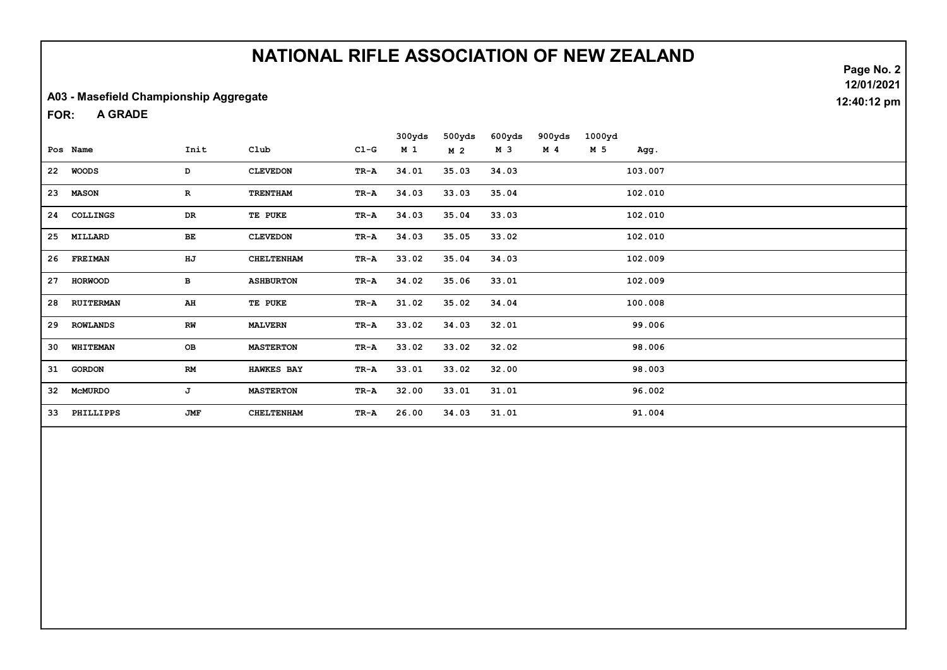#### A03 - Masefield Championship Aggregate

A GRADE FOR:

|    |                  |            |                   |        | 300yds | 500yds         | 600yds | 900yds         | 1000yd |         |  |
|----|------------------|------------|-------------------|--------|--------|----------------|--------|----------------|--------|---------|--|
|    | Pos Name         | Init       | Club              | $C1-G$ | M 1    | M <sub>2</sub> | M 3    | M <sub>4</sub> | M 5    | Agg.    |  |
|    | 22 WOODS         | D          | <b>CLEVEDON</b>   | TR-A   | 34.01  | 35.03          | 34.03  |                |        | 103.007 |  |
| 23 | <b>MASON</b>     | R          | <b>TRENTHAM</b>   | TR-A   | 34.03  | 33.03          | 35.04  |                |        | 102.010 |  |
| 24 | COLLINGS         | DR         | TE PUKE           | TR-A   | 34.03  | 35.04          | 33.03  |                |        | 102.010 |  |
| 25 | MILLARD          | BE         | <b>CLEVEDON</b>   | TR-A   | 34.03  | 35.05          | 33.02  |                |        | 102.010 |  |
| 26 | FREIMAN          | HJ         | <b>CHELTENHAM</b> | TR-A   | 33.02  | 35.04          | 34.03  |                |        | 102.009 |  |
| 27 | <b>HORWOOD</b>   | в          | <b>ASHBURTON</b>  | TR-A   | 34.02  | 35.06          | 33.01  |                |        | 102.009 |  |
| 28 | <b>RUITERMAN</b> | AH         | TE PUKE           | TR-A   | 31.02  | 35.02          | 34.04  |                |        | 100.008 |  |
|    | 29 ROWLANDS      | RW         | <b>MALVERN</b>    | TR-A   | 33.02  | 34.03          | 32.01  |                |        | 99.006  |  |
| 30 | WHITEMAN         | OВ         | <b>MASTERTON</b>  | TR-A   | 33.02  | 33.02          | 32.02  |                |        | 98.006  |  |
| 31 | <b>GORDON</b>    | RM         | <b>HAWKES BAY</b> | TR-A   | 33.01  | 33.02          | 32.00  |                |        | 98.003  |  |
| 32 | <b>McMURDO</b>   | J          | <b>MASTERTON</b>  | TR-A   | 32.00  | 33.01          | 31.01  |                |        | 96.002  |  |
| 33 | PHILLIPPS        | <b>JMF</b> | <b>CHELTENHAM</b> | TR-A   | 26.00  | 34.03          | 31.01  |                |        | 91.004  |  |

Page No. 2 12/01/2021 12:40:12 pm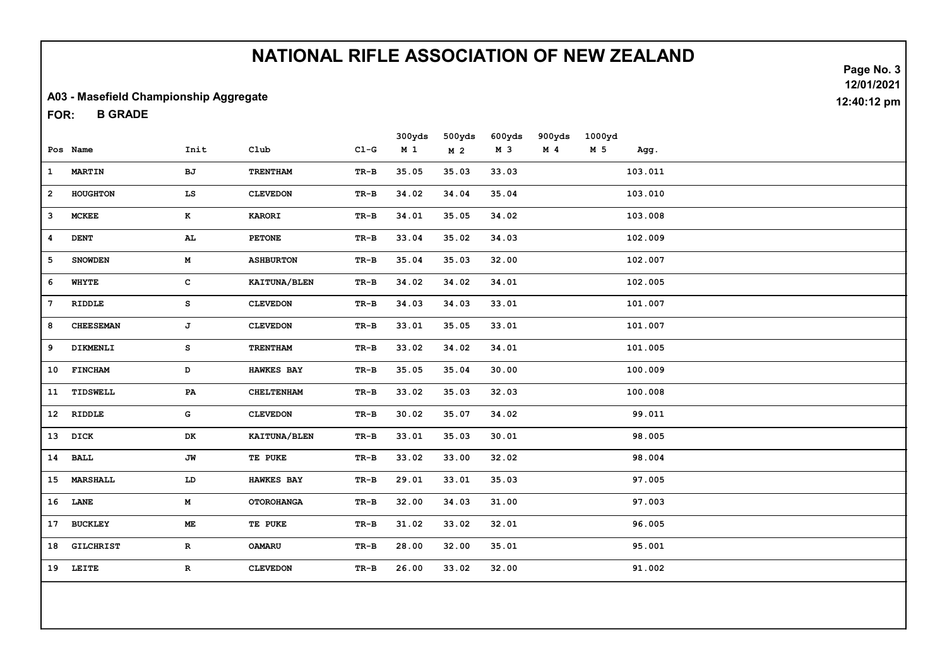#### A03 - Masefield Championship Aggregate

B GRADE FOR:

|              |                  |              |                   |           | 300yds         | 500yds         | 600yds | 900yds         | 1000yd |         |  |
|--------------|------------------|--------------|-------------------|-----------|----------------|----------------|--------|----------------|--------|---------|--|
|              | Pos Name         | Init         | C1ub              | $C1-G$    | M <sub>1</sub> | M <sub>2</sub> | M 3    | M <sub>4</sub> | M 5    | Agg.    |  |
| $\mathbf{1}$ | <b>MARTIN</b>    | ВJ           | <b>TRENTHAM</b>   | TR-B      | 35.05          | 35.03          | 33.03  |                |        | 103.011 |  |
| $\mathbf{2}$ | HOUGHTON         | LS           | <b>CLEVEDON</b>   | TR-B      | 34.02          | 34.04          | 35.04  |                |        | 103.010 |  |
| 3            | <b>MCKEE</b>     | K            | <b>KARORI</b>     | TR-B      | 34.01          | 35.05          | 34.02  |                |        | 103.008 |  |
| 4            | <b>DENT</b>      | AL           | <b>PETONE</b>     | $TR-B$    | 33.04          | 35.02          | 34.03  |                |        | 102.009 |  |
| 5            | <b>SNOWDEN</b>   | M            | <b>ASHBURTON</b>  | $TR-B$    | 35.04          | 35.03          | 32.00  |                |        | 102.007 |  |
| 6            | WHYTE            | $\mathbf{C}$ | KAITUNA/BLEN      | $TR-B$    | 34.02          | 34.02          | 34.01  |                |        | 102.005 |  |
| 7            | RIDDLE           | s            | <b>CLEVEDON</b>   | TR-B      | 34.03          | 34.03          | 33.01  |                |        | 101.007 |  |
| 8            | <b>CHEESEMAN</b> | J            | <b>CLEVEDON</b>   | TR-B      | 33.01          | 35.05          | 33.01  |                |        | 101.007 |  |
| 9            | DIKMENLI         | s            | <b>TRENTHAM</b>   | TR-B      | 33.02          | 34.02          | 34.01  |                |        | 101.005 |  |
|              | 10 FINCHAM       | D            | <b>HAWKES BAY</b> | TR-B      | 35.05          | 35.04          | 30.00  |                |        | 100.009 |  |
|              | 11 TIDSWELL      | PA           | <b>CHELTENHAM</b> | $\,$ TR-B | 33.02          | 35.03          | 32.03  |                |        | 100.008 |  |
|              | 12 RIDDLE        | G            | <b>CLEVEDON</b>   | $TR-B$    | 30.02          | 35.07          | 34.02  |                |        | 99.011  |  |
|              | 13 DICK          | DK           | KAITUNA/BLEN      | $TR-B$    | 33.01          | 35.03          | 30.01  |                |        | 98.005  |  |
|              | $14$ $\,$ BALL   | JW           | TE PUKE           | TR-B      | 33.02          | 33.00          | 32.02  |                |        | 98.004  |  |
|              | 15 MARSHALL      | ${\tt LD}$   | HAWKES BAY        | TR-B      | 29.01          | 33.01          | 35.03  |                |        | 97.005  |  |
|              | 16 LANE          | M            | <b>OTOROHANGA</b> | $\,$ TR-B | 32.00          | 34.03          | 31.00  |                |        | 97.003  |  |
|              | 17 BUCKLEY       | <b>ME</b>    | TE PUKE           | TR-B      | 31.02          | 33.02          | 32.01  |                |        | 96.005  |  |
|              | 18 GILCHRIST     | $\mathbf{R}$ | <b>OAMARU</b>     | TR-B      | 28.00          | 32.00          | 35.01  |                |        | 95.001  |  |
|              | 19 LEITE         | R            | <b>CLEVEDON</b>   | TR-B      | 26.00          | 33.02          | 32.00  |                |        | 91.002  |  |
|              |                  |              |                   |           |                |                |        |                |        |         |  |
|              |                  |              |                   |           |                |                |        |                |        |         |  |

Page No. 3 12/01/2021 12:40:12 pm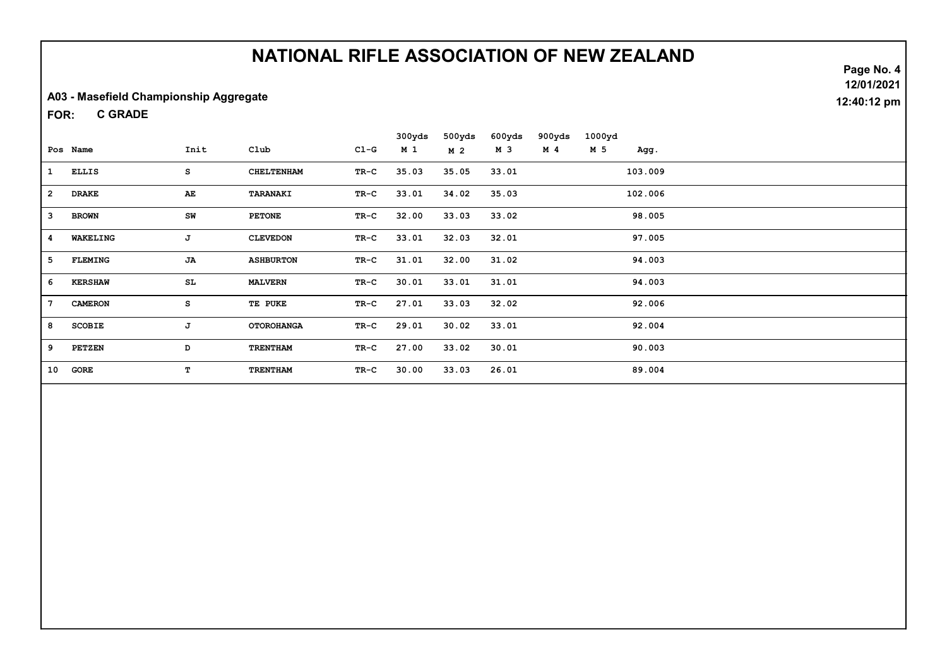#### A03 - Masefield Championship Aggregate

C GRADE FOR:

|                 |                |      |                   |        | 300yds | 500yds         | 600yds | 900yds         | 1000yd |         |  |
|-----------------|----------------|------|-------------------|--------|--------|----------------|--------|----------------|--------|---------|--|
|                 | Pos Name       | Init | $_{\text{Club}}$  | $C1-G$ | M 1    | M <sub>2</sub> | м з    | M <sub>4</sub> | M 5    | Agg.    |  |
| 1               | <b>ELLIS</b>   | s    | <b>CHELTENHAM</b> | $TR-C$ | 35.03  | 35.05          | 33.01  |                |        | 103.009 |  |
| $\overline{2}$  | <b>DRAKE</b>   | AE   | TARANAKI          | TR-C   | 33.01  | 34.02          | 35.03  |                |        | 102.006 |  |
| 3               | <b>BROWN</b>   | SW   | <b>PETONE</b>     | TR-C   | 32.00  | 33.03          | 33.02  |                |        | 98.005  |  |
| 4               | WAKELING       | J    | <b>CLEVEDON</b>   | TR-C   | 33.01  | 32.03          | 32.01  |                |        | 97.005  |  |
| 5               | <b>FLEMING</b> | JA   | <b>ASHBURTON</b>  | $TR-C$ | 31.01  | 32.00          | 31.02  |                |        | 94.003  |  |
| 6               | <b>KERSHAW</b> | SL   | <b>MALVERN</b>    | $TR-C$ | 30.01  | 33.01          | 31.01  |                |        | 94.003  |  |
| $7\phantom{.0}$ | <b>CAMERON</b> | s    | TE PUKE           | TR-C   | 27.01  | 33.03          | 32.02  |                |        | 92.006  |  |
| 8               | <b>SCOBIE</b>  | J    | <b>OTOROHANGA</b> | TR-C   | 29.01  | 30.02          | 33.01  |                |        | 92.004  |  |
| 9               | <b>PETZEN</b>  | D    | <b>TRENTHAM</b>   | TR-C   | 27.00  | 33.02          | 30.01  |                |        | 90.003  |  |
| 10              | GORE           | T.   | <b>TRENTHAM</b>   | TR-C   | 30.00  | 33.03          | 26.01  |                |        | 89.004  |  |

Page No. 4 12/01/2021 12:40:12 pm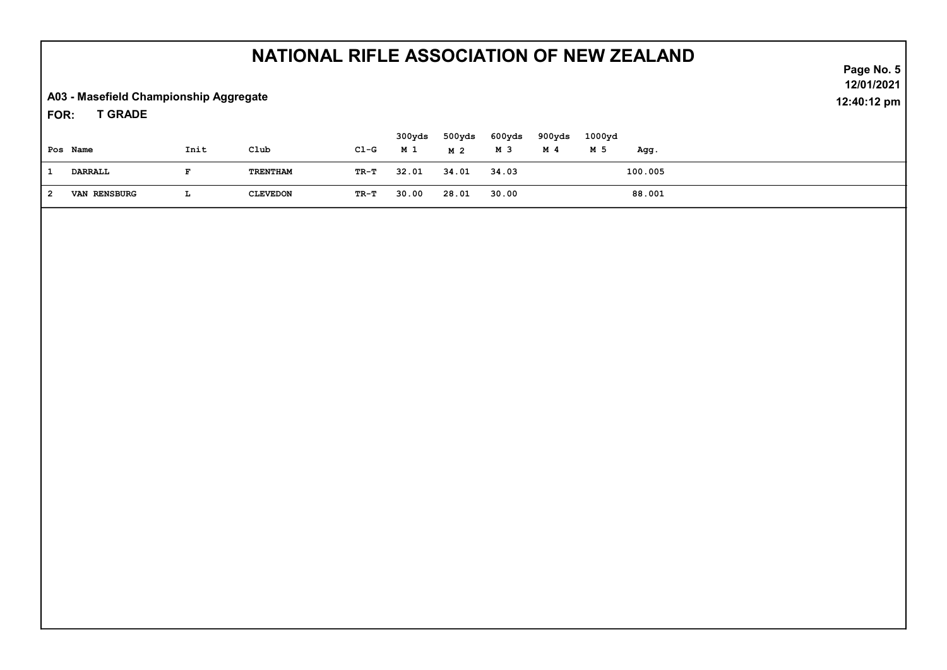A03 - Masefield Championship Aggregate

T GRADE FOR:

| Pos Name            | Init | Club            | Cl-G | 300yds<br>M 1 | 500yds<br>M 2 | 600yds<br>м з | 900yds<br>M 4 | 1000yd<br>M 5 | Agg.    |  |  |
|---------------------|------|-----------------|------|---------------|---------------|---------------|---------------|---------------|---------|--|--|
| DARRALL             |      | TRENTHAM        | TR-T | 32.01         | 34.01         | 34.03         |               |               | 100.005 |  |  |
| <b>VAN RENSBURG</b> | ш    | <b>CLEVEDON</b> | TR-T | 30.00         | 28.01         | 30.00         |               |               | 88.001  |  |  |

Page No. 5 12/01/2021 12:40:12 pm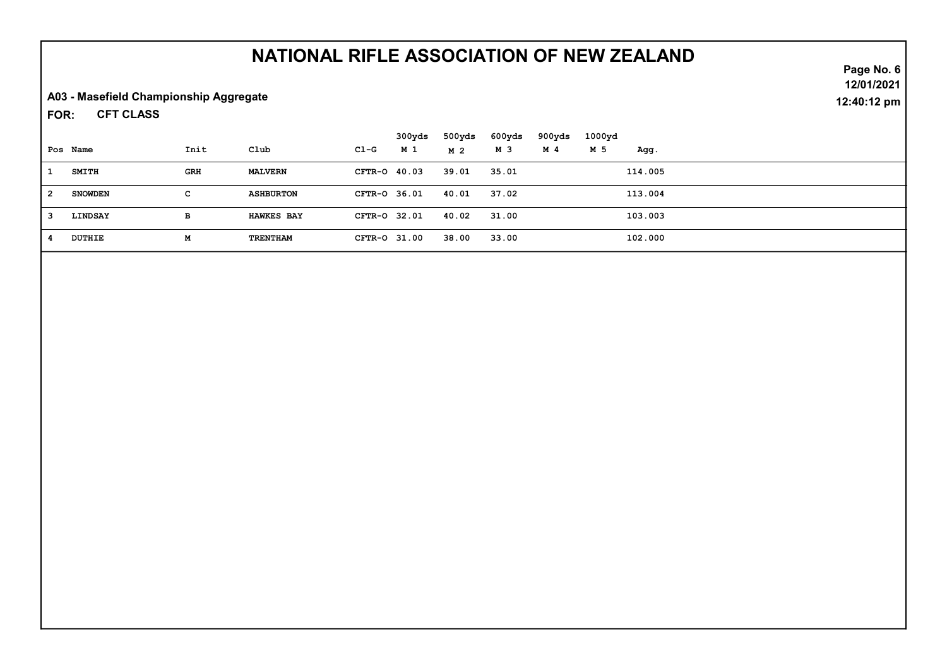A03 - Masefield Championship Aggregate

CFT CLASS FOR:

|              |                |      |                   |              | 300yds | 500yds | 600yds | 900yds | 1000yd |         |  |
|--------------|----------------|------|-------------------|--------------|--------|--------|--------|--------|--------|---------|--|
|              | Pos Name       | Init | Club              | C1-G         | M 1    | M 2    | M 3    | M 4    | M 5    | Agg.    |  |
|              | <b>SMITH</b>   | GRH  | <b>MALVERN</b>    | CFTR-0 40.03 |        | 39.01  | 35.01  |        |        | 114.005 |  |
| - 2          | <b>SNOWDEN</b> | C.   | <b>ASHBURTON</b>  | CFTR-0 36.01 |        | 40.01  | 37.02  |        |        | 113.004 |  |
| $\mathbf{3}$ | LINDSAY        | в    | <b>HAWKES BAY</b> | CFTR-0 32.01 |        | 40.02  | 31.00  |        |        | 103.003 |  |
| -4           | <b>DUTHIE</b>  | м    | TRENTHAM          | CFTR-0 31.00 |        | 38.00  | 33.00  |        |        | 102.000 |  |

Page No. 6 12/01/2021 12:40:12 pm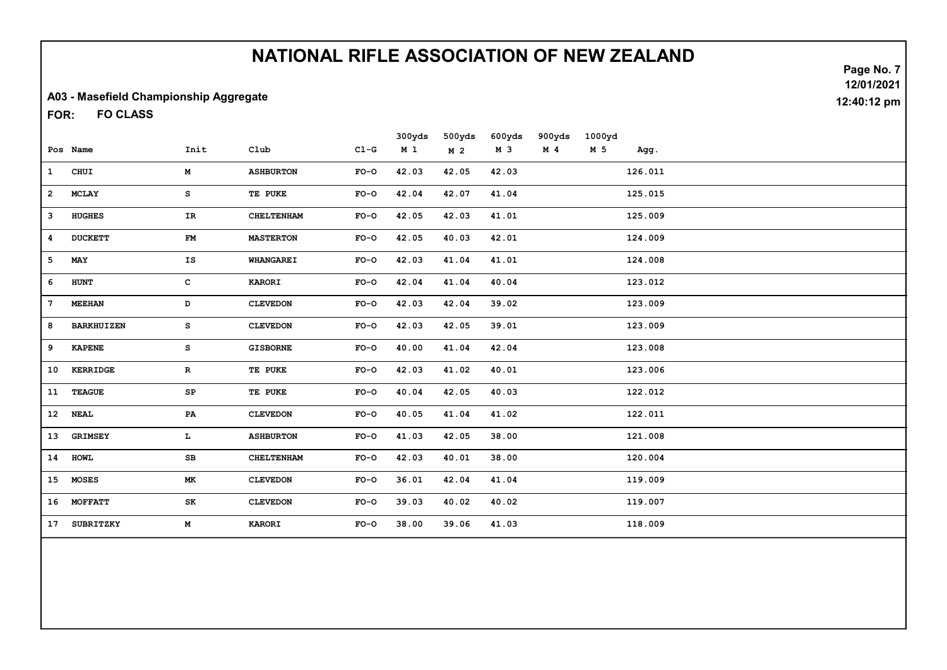#### A03 - Masefield Championship Aggregate

FO CLASS FOR:

|                 |                   |               |                   |        | 300yds         | 500yds         | 600yds | 900yds         | 1000yd         |         |
|-----------------|-------------------|---------------|-------------------|--------|----------------|----------------|--------|----------------|----------------|---------|
|                 | Pos Name          | Init          | C1ub              | $C1-G$ | M <sub>1</sub> | M <sub>2</sub> | M 3    | M <sub>4</sub> | M <sub>5</sub> | Agg.    |
| $\mathbf{1}$    | CHUI              | M             | <b>ASHBURTON</b>  | $FO-O$ | 42.03          | 42.05          | 42.03  |                |                | 126.011 |
| $\mathbf{2}$    | <b>MCLAY</b>      | s             | TE PUKE           | $FO-O$ | 42.04          | 42.07          | 41.04  |                |                | 125.015 |
| 3               | <b>HUGHES</b>     | IR            | <b>CHELTENHAM</b> | $FO-O$ | 42.05          | 42.03          | 41.01  |                |                | 125.009 |
| 4               | <b>DUCKETT</b>    | FM            | <b>MASTERTON</b>  | $FO-O$ | 42.05          | 40.03          | 42.01  |                |                | 124.009 |
| 5               | MAY               | IS            | <b>WHANGAREI</b>  | $FO-O$ | 42.03          | 41.04          | 41.01  |                |                | 124.008 |
| 6               | <b>HUNT</b>       | с             | <b>KARORI</b>     | $FO-O$ | 42.04          | 41.04          | 40.04  |                |                | 123.012 |
| $7\phantom{.0}$ | <b>MEEHAN</b>     | D             | <b>CLEVEDON</b>   | $FO-O$ | 42.03          | 42.04          | 39.02  |                |                | 123.009 |
| 8               | <b>BARKHUIZEN</b> | s             | <b>CLEVEDON</b>   | $FO-O$ | 42.03          | 42.05          | 39.01  |                |                | 123.009 |
| 9               | <b>KAPENE</b>     | s             | <b>GISBORNE</b>   | $FO-O$ | 40.00          | 41.04          | 42.04  |                |                | 123.008 |
| 10              | <b>KERRIDGE</b>   | $\mathbf R$   | TE PUKE           | $FO-O$ | 42.03          | 41.02          | 40.01  |                |                | 123.006 |
| 11              | <b>TEAGUE</b>     | SP            | TE PUKE           | $FO-O$ | 40.04          | 42.05          | 40.03  |                |                | 122.012 |
| 12              | <b>NEAL</b>       | $\mathbf{PA}$ | <b>CLEVEDON</b>   | $FO-O$ | 40.05          | 41.04          | 41.02  |                |                | 122.011 |
| 13              | <b>GRIMSEY</b>    | L             | <b>ASHBURTON</b>  | $FO-O$ | 41.03          | 42.05          | 38.00  |                |                | 121.008 |
| 14              | <b>HOWL</b>       | SB            | <b>CHELTENHAM</b> | $FO-O$ | 42.03          | 40.01          | 38.00  |                |                | 120.004 |
| 15              | <b>MOSES</b>      | МK            | <b>CLEVEDON</b>   | $FO-O$ | 36.01          | 42.04          | 41.04  |                |                | 119.009 |
| 16              | <b>MOFFATT</b>    | SK            | <b>CLEVEDON</b>   | $FO-O$ | 39.03          | 40.02          | 40.02  |                |                | 119.007 |
| 17              | <b>SUBRITZKY</b>  | M             | <b>KARORI</b>     | $FO-O$ | 38.00          | 39.06          | 41.03  |                |                | 118.009 |
|                 |                   |               |                   |        |                |                |        |                |                |         |

Page No. 7 12/01/2021 12:40:12 pm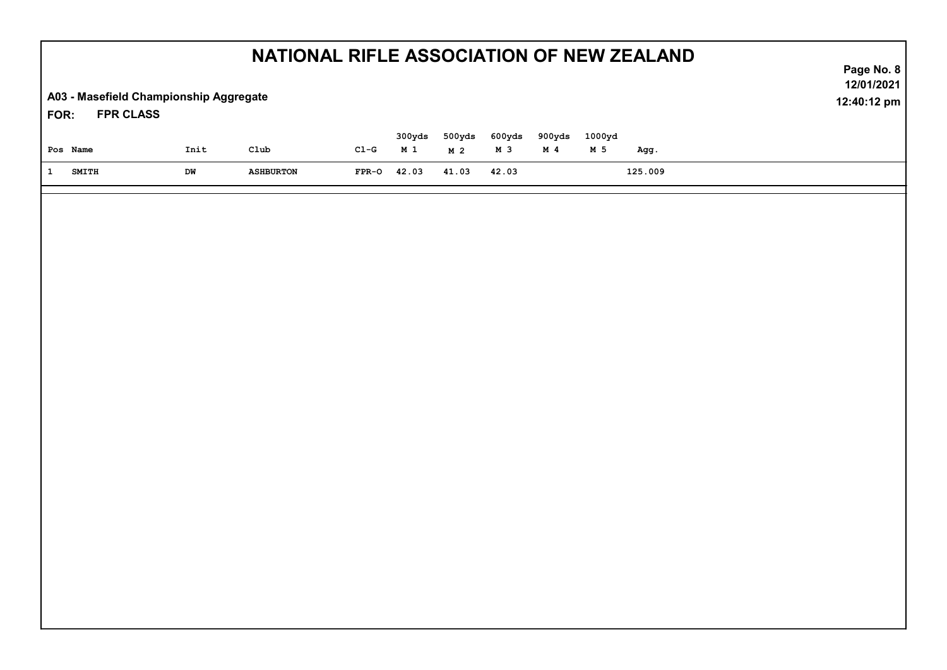| NATIONAL RIFLE ASSOCIATION OF NEW ZEALAND |                                                            |                  |         |                 |                          |               |                          |               |         |  | Page No. 8                |
|-------------------------------------------|------------------------------------------------------------|------------------|---------|-----------------|--------------------------|---------------|--------------------------|---------------|---------|--|---------------------------|
| FOR:                                      | A03 - Masefield Championship Aggregate<br><b>FPR CLASS</b> |                  |         |                 |                          |               |                          |               |         |  | 12/01/2021<br>12:40:12 pm |
| Pos Name                                  | Init                                                       | $\verb club $    | $CL-G$  | 300yds<br>$M_1$ | 500yds<br>M <sub>2</sub> | 600yds<br>M 3 | 900yds<br>M <sub>4</sub> | 1000yd<br>M 5 | Agg.    |  |                           |
| $\mathbf{1}$<br><b>SMITH</b>              | DM                                                         | <b>ASHBURTON</b> | $FPR-O$ | 42.03           | 41.03                    | 42.03         |                          |               | 125.009 |  |                           |
|                                           |                                                            |                  |         |                 |                          |               |                          |               |         |  |                           |
|                                           |                                                            |                  |         |                 |                          |               |                          |               |         |  |                           |
|                                           |                                                            |                  |         |                 |                          |               |                          |               |         |  |                           |
|                                           |                                                            |                  |         |                 |                          |               |                          |               |         |  |                           |
|                                           |                                                            |                  |         |                 |                          |               |                          |               |         |  |                           |
|                                           |                                                            |                  |         |                 |                          |               |                          |               |         |  |                           |
|                                           |                                                            |                  |         |                 |                          |               |                          |               |         |  |                           |
|                                           |                                                            |                  |         |                 |                          |               |                          |               |         |  |                           |
|                                           |                                                            |                  |         |                 |                          |               |                          |               |         |  |                           |
|                                           |                                                            |                  |         |                 |                          |               |                          |               |         |  |                           |
|                                           |                                                            |                  |         |                 |                          |               |                          |               |         |  |                           |
|                                           |                                                            |                  |         |                 |                          |               |                          |               |         |  |                           |
|                                           |                                                            |                  |         |                 |                          |               |                          |               |         |  |                           |
|                                           |                                                            |                  |         |                 |                          |               |                          |               |         |  |                           |
|                                           |                                                            |                  |         |                 |                          |               |                          |               |         |  |                           |
|                                           |                                                            |                  |         |                 |                          |               |                          |               |         |  |                           |
|                                           |                                                            |                  |         |                 |                          |               |                          |               |         |  |                           |
|                                           |                                                            |                  |         |                 |                          |               |                          |               |         |  |                           |